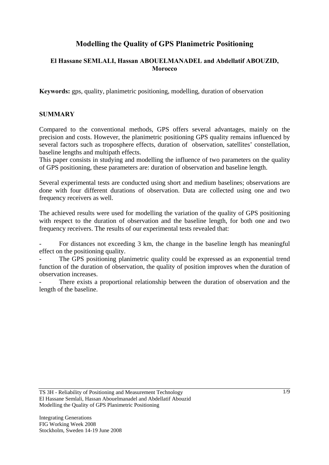# **Modelling the Quality of GPS Planimetric Positioning**

# **El Hassane SEMLALI, Hassan ABOUELMANADEL and Abdellatif ABOUZID, Morocco**

**Keywords:** gps, quality, planimetric positioning, modelling, duration of observation

#### **SUMMARY**

Compared to the conventional methods, GPS offers several advantages, mainly on the precision and costs. However, the planimetric positioning GPS quality remains influenced by several factors such as troposphere effects, duration of observation, satellites' constellation, baseline lengths and multipath effects.

This paper consists in studying and modelling the influence of two parameters on the quality of GPS positioning, these parameters are: duration of observation and baseline length.

Several experimental tests are conducted using short and medium baselines; observations are done with four different durations of observation. Data are collected using one and two frequency receivers as well.

The achieved results were used for modelling the variation of the quality of GPS positioning with respect to the duration of observation and the baseline length, for both one and two frequency receivers. The results of our experimental tests revealed that:

For distances not exceeding 3 km, the change in the baseline length has meaningful effect on the positioning quality.

The GPS positioning planimetric quality could be expressed as an exponential trend function of the duration of observation, the quality of position improves when the duration of observation increases.

There exists a proportional relationship between the duration of observation and the length of the baseline.

TS 3H - Reliability of Positioning and Measurement Technology El Hassane Semlali, Hassan Abouelmanadel and Abdellatif Abouzid Modelling the Quality of GPS Planimetric Positioning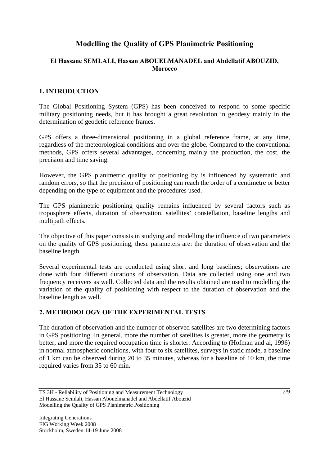# **Modelling the Quality of GPS Planimetric Positioning**

# **El Hassane SEMLALI, Hassan ABOUELMANADEL and Abdellatif ABOUZID, Morocco**

# **1. INTRODUCTION**

The Global Positioning System (GPS) has been conceived to respond to some specific military positioning needs, but it has brought a great revolution in geodesy mainly in the determination of geodetic reference frames.

GPS offers a three-dimensional positioning in a global reference frame, at any time, regardless of the meteorological conditions and over the globe. Compared to the conventional methods, GPS offers several advantages, concerning mainly the production, the cost, the precision and time saving.

However, the GPS planimetric quality of positioning by is influenced by systematic and random errors, so that the precision of positioning can reach the order of a centimetre or better depending on the type of equipment and the procedures used.

The GPS planimetric positioning quality remains influenced by several factors such as troposphere effects, duration of observation, satellites' constellation, baseline lengths and multipath effects.

The objective of this paper consists in studying and modelling the influence of two parameters on the quality of GPS positioning, these parameters are: the duration of observation and the baseline length.

Several experimental tests are conducted using short and long baselines; observations are done with four different durations of observation. Data are collected using one and two frequency receivers as well. Collected data and the results obtained are used to modelling the variation of the quality of positioning with respect to the duration of observation and the baseline length as well.

# **2. METHODOLOGY OF THE EXPERIMENTAL TESTS**

The duration of observation and the number of observed satellites are two determining factors in GPS positioning. In general, more the number of satellites is greater, more the geometry is better, and more the required occupation time is shorter. According to (Hofman and al, 1996) in normal atmospheric conditions, with four to six satellites, surveys in static mode, a baseline of 1 km can be observed during 20 to 35 minutes, whereas for a baseline of 10 km, the time required varies from 35 to 60 min.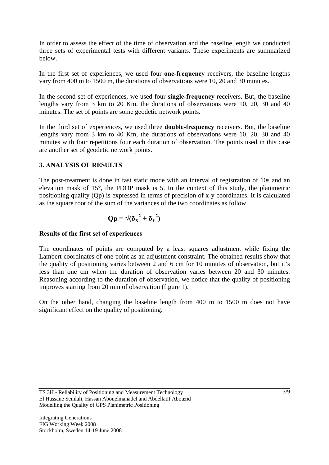In order to assess the effect of the time of observation and the baseline length we conducted three sets of experimental tests with different variants. These experiments are summarized below.

In the first set of experiences, we used four **one-frequency** receivers, the baseline lengths vary from 400 m to 1500 m, the durations of observations were 10, 20 and 30 minutes.

In the second set of experiences, we used four **single-frequency** receivers. But, the baseline lengths vary from 3 km to 20 Km, the durations of observations were 10, 20, 30 and 40 minutes. The set of points are some geodetic network points.

In the third set of experiences, we used three **double-frequency** receivers. But, the baseline lengths vary from 3 km to 40 Km, the durations of observations were 10, 20, 30 and 40 minutes with four repetitions four each duration of observation. The points used in this case are another set of geodetic network points.

# **3. ANALYSIS OF RESULTS**

The post-treatment is done in fast static mode with an interval of registration of 10s and an elevation mask of 15°, the PDOP mask is 5. In the context of this study, the planimetric positioning quality (Qp) is expressed in terms of precision of x-y coordinates. It is calculated as the square root of the sum of the variances of the two coordinates as follow.

$$
Qp = \sqrt{(6_X^2 + 6_Y^2)}
$$

#### **Results of the first set of experiences**

The coordinates of points are computed by a least squares adjustment while fixing the Lambert coordinates of one point as an adjustment constraint. The obtained results show that the quality of positioning varies between 2 and 6 cm for 10 minutes of observation, but it's less than one cm when the duration of observation varies between 20 and 30 minutes. Reasoning according to the duration of observation, we notice that the quality of positioning improves starting from 20 min of observation (figure 1).

On the other hand, changing the baseline length from 400 m to 1500 m does not have significant effect on the quality of positioning.

TS 3H - Reliability of Positioning and Measurement Technology El Hassane Semlali, Hassan Abouelmanadel and Abdellatif Abouzid Modelling the Quality of GPS Planimetric Positioning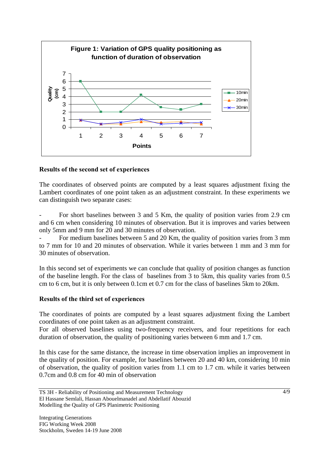

# **Results of the second set of experiences**

The coordinates of observed points are computed by a least squares adjustment fixing the Lambert coordinates of one point taken as an adjustment constraint. In these experiments we can distinguish two separate cases:

- For short baselines between 3 and 5 Km, the quality of position varies from 2.9 cm and 6 cm when considering 10 minutes of observation. But it is improves and varies between only 5mm and 9 mm for 20 and 30 minutes of observation.

For medium baselines between 5 and 20 Km, the quality of position varies from 3 mm to 7 mm for 10 and 20 minutes of observation. While it varies between 1 mm and 3 mm for 30 minutes of observation.

In this second set of experiments we can conclude that quality of position changes as function of the baseline length. For the class of baselines from 3 to 5km, this quality varies from 0.5 cm to 6 cm, but it is only between 0.1cm et 0.7 cm for the class of baselines 5km to 20km.

# **Results of the third set of experiences**

The coordinates of points are computed by a least squares adjustment fixing the Lambert coordinates of one point taken as an adjustment constraint.

For all observed baselines using two-frequency receivers, and four repetitions for each duration of observation, the quality of positioning varies between 6 mm and 1.7 cm.

In this case for the same distance, the increase in time observation implies an improvement in the quality of position. For example, for baselines between 20 and 40 km, considering 10 min of observation, the quality of position varies from 1.1 cm to 1.7 cm. while it varies between 0.7cm and 0.8 cm for 40 min of observation

TS 3H - Reliability of Positioning and Measurement Technology El Hassane Semlali, Hassan Abouelmanadel and Abdellatif Abouzid Modelling the Quality of GPS Planimetric Positioning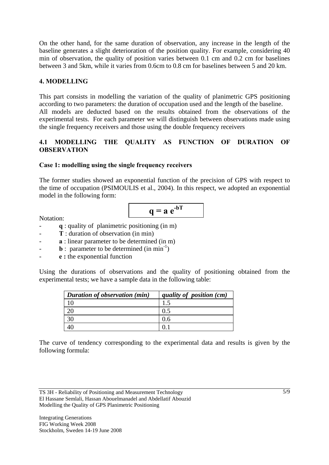On the other hand, for the same duration of observation, any increase in the length of the baseline generates a slight deterioration of the position quality. For example, considering 40 min of observation, the quality of position varies between 0.1 cm and 0.2 cm for baselines between 3 and 5km, while it varies from 0.6cm to 0.8 cm for baselines between 5 and 20 km.

# **4. MODELLING**

This part consists in modelling the variation of the quality of planimetric GPS positioning according to two parameters: the duration of occupation used and the length of the baseline. All models are deducted based on the results obtained from the observations of the experimental tests. For each parameter we will distinguish between observations made using the single frequency receivers and those using the double frequency receivers

# **4.1 MODELLING THE QUALITY AS FUNCTION OF DURATION OF OBSERVATION**

#### **Case 1: modelling using the single frequency receivers**

The former studies showed an exponential function of the precision of GPS with respect to the time of occupation (PSIMOULIS et al., 2004). In this respect, we adopted an exponential model in the following form:

$$
q = a e^{-bT}
$$

Notation:

- **q** : quality of planimetric positioning (in m)
- **T** : duration of observation (in min)
- a : linear parameter to be determined (in m)
- **b** : parameter to be determined (in min<sup>-1</sup>)
- **e :** the exponential function

Using the durations of observations and the quality of positioning obtained from the experimental tests; we have a sample data in the following table:

| Duration of observation (min) | quality of position (cm) |
|-------------------------------|--------------------------|
|                               |                          |
|                               | 0.5                      |
| 30                            | 0.6                      |
|                               |                          |

The curve of tendency corresponding to the experimental data and results is given by the following formula:

TS 3H - Reliability of Positioning and Measurement Technology El Hassane Semlali, Hassan Abouelmanadel and Abdellatif Abouzid Modelling the Quality of GPS Planimetric Positioning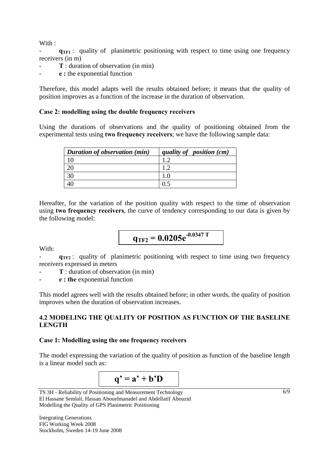With:

 $q_{TF1}$ : quality of planimetric positioning with respect to time using one frequency receivers (in m)

- T : duration of observation (in min)
- **e :** the exponential function

Therefore, this model adapts well the results obtained before; it means that the quality of position improves as a function of the increase in the duration of observation.

#### **Case 2: modelling using the double frequency receivers**

Using the durations of observations and the quality of positioning obtained from the experimental tests using **two frequency receivers**; we have the following sample data:

| Duration of observation (min) | quality of position (cm) |
|-------------------------------|--------------------------|
| 10                            |                          |
|                               |                          |
| 30                            |                          |
|                               |                          |

Hereafter, for the variation of the position quality with respect to the time of observation using **two frequency receivers**, the curve of tendency corresponding to our data is given by the following model:

$$
q_{TF2} = 0.0205e^{-0.0347 T}
$$

With:

 $q_{TF2}$ : quality of planimetric positioning with respect to time using two frequency receivers expressed in meters

- **T** : duration of observation (in min)

- **e : the** exponential function

This model agrees well with the results obtained before; in other words, the quality of position improves when the duration of observation increases.

#### **4.2 MODELING THE QUALITY OF POSITION AS FUNCTION OF THE BASELINE LENGTH**

#### **Case 1: Modelling using the one frequency receivers**

The model expressing the variation of the quality of position as function of the baseline length is a linear model such as:



TS 3H - Reliability of Positioning and Measurement Technology El Hassane Semlali, Hassan Abouelmanadel and Abdellatif Abouzid Modelling the Quality of GPS Planimetric Positioning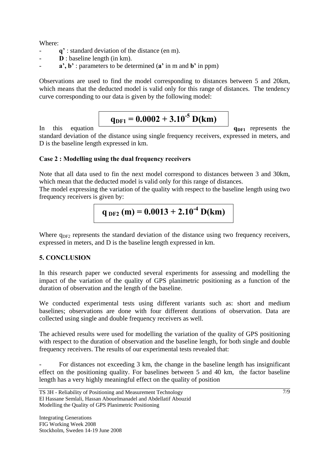Where:

- **q'** : standard deviation of the distance (en m).
- **D** : baseline length (in km).
- **a', b'** : parameters to be determined (**a'** in m and **b'** in ppm)

Observations are used to find the model corresponding to distances between 5 and 20km, which means that the deducted model is valid only for this range of distances. The tendency curve corresponding to our data is given by the following model:

# $q_{\text{DF1}} = 0.0002 + 3.10^{-5} \text{ D}(\text{km})$

In this equation **q**DF1 represents the

standard deviation of the distance using single frequency receivers, expressed in meters, and D is the baseline length expressed in km.

# **Case 2 : Modelling using the dual frequency receivers**

Note that all data used to fin the next model correspond to distances between 3 and 30km, which mean that the deducted model is valid only for this range of distances.

The model expressing the variation of the quality with respect to the baseline length using two frequency receivers is given by:

$$
q_{ DF2} (m) = 0.0013 + 2.10^{-4} D(km)
$$

Where  $q_{DE2}$  represents the standard deviation of the distance using two frequency receivers, expressed in meters, and D is the baseline length expressed in km.

# **5. CONCLUSION**

In this research paper we conducted several experiments for assessing and modelling the impact of the variation of the quality of GPS planimetric positioning as a function of the duration of observation and the length of the baseline.

We conducted experimental tests using different variants such as: short and medium baselines; observations are done with four different durations of observation. Data are collected using single and double frequency receivers as well.

The achieved results were used for modelling the variation of the quality of GPS positioning with respect to the duration of observation and the baseline length, for both single and double frequency receivers. The results of our experimental tests revealed that:

For distances not exceeding 3 km, the change in the baseline length has insignificant effect on the positioning quality. For baselines between 5 and 40 km, the factor baseline length has a very highly meaningful effect on the quality of position

TS 3H - Reliability of Positioning and Measurement Technology El Hassane Semlali, Hassan Abouelmanadel and Abdellatif Abouzid Modelling the Quality of GPS Planimetric Positioning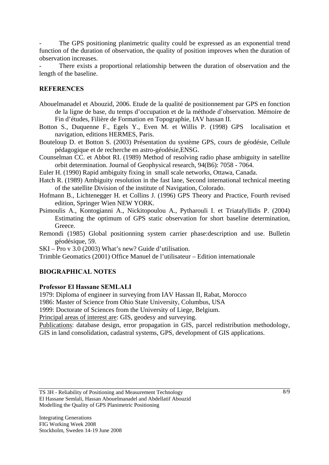The GPS positioning planimetric quality could be expressed as an exponential trend function of the duration of observation, the quality of position improves when the duration of observation increases.

There exists a proportional relationship between the duration of observation and the length of the baseline.

# **REFERENCES**

- Abouelmanadel et Abouzid, 2006. Etude de la qualité de positionnement par GPS en fonction de la ligne de base, du temps d'occupation et de la méthode d'observation. Mémoire de Fin d'études, Filière de Formation en Topographie, IAV hassan II.
- Botton S., Duquenne F., Egels Y., Even M. et Willis P. (1998) GPS localisation et navigation, editions HERMES, Paris.
- Bouteloup D. et Botton S. (2003) Présentation du système GPS, cours de géodésie, Cellule pédagogique et de recherche en astro-géodésie,ENSG.
- Counselman CC. et Abbot RI. (1989) Method of resolving radio phase ambiguity in satellite orbit determination. Journal of Geophysical research, 94(B6): 7058 - 7064.
- Euler H. (1990) Rapid ambiguity fixing in small scale networks, Ottawa, Canada.
- Hatch R. (1989) Ambiguity resolution in the fast lane, Second international technical meeting of the satellite Division of the institute of Navigation, Colorado.
- Hofmann B., Lichtenegger H. et Collins J. (1996) GPS Theory and Practice, Fourth revised edition, Springer Wien NEW YORK.

Psimoulis A., Kontogianni A., Nickitopoulou A., Pytharouli I. et Triatafyllidis P. (2004) Estimating the optimum of GPS static observation for short baseline determination, Greece.

Remondi (1985) Global positionning system carrier phase:description and use. Bulletin géodésique, 59.

SKI – Pro v 3.0 (2003) What's new? Guide d'utilisation.

Trimble Geomatics (2001) Office Manuel de l'utilisateur – Edition internationale

# **BIOGRAPHICAL NOTES**

#### **Professor El Hassane SEMLALI**

1979: Diploma of engineer in surveying from IAV Hassan II, Rabat, Morocco

1986: Master of Science from Ohio State University, Columbus, USA

1999: Doctorate of Sciences from the University of Liege, Belgium.

Principal areas of interest are: GIS, geodesy and surveying.

Publications: database design, error propagation in GIS, parcel redistribution methodology, GIS in land consolidation, cadastral systems, GPS, development of GIS applications.